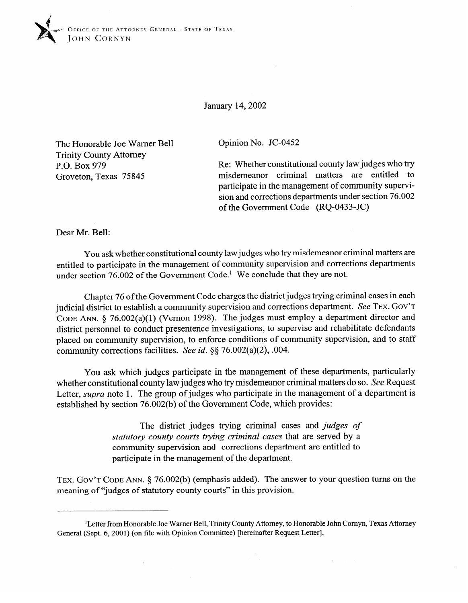

January 14,2002

The Honorable Joe Warner Bell Trinity County Attorney P.O. Box 979 Groveton, Texas 75845

Opinion No. JC-0452

Re: Whether constitutional county law judges who try<br>misdemeanor criminal matters are entitled to participate in the management of community superviparticipate in the management of community supervi- $\frac{1}{1000}$  and corrections departments under section 76.002 of the Government Code (RQ-0433-JC)

Dear Mr. Bell:

You ask whether constitutional county law judges who try misdemeanor criminal matters are entitled to participate in the management of community supervision and corrections departments  $\frac{1}{2}$  entitled to participate in the management  $\text{Coda}$ . We conclude that they are not under section 76.002 of the Government Code.' We conclude that they are not.

Chapter 76 of the Government Code charges the district judges trying criminal cases in each<br>iudicial district to establish a community supervision and corrections department. See TEX. GOV'T CODE ANN.  $\delta$  76.002(a)(1) (Vernon 1998). The judges must employ a department director and district personnel to conduct presentence investigations, to supervise and rehabilitate defendants placed on community supervision, to enforce conditions of community supervision, and to staff community corrections facilities. See id.  $\S$ § 76.002(a)(2), .004.  $\frac{1}{2}$ 

You ask which judges participate in the management of these departments, particularly whether constitutional county law judges who try misdemeanor criminal matters do so. See Request Letter, *supra* note 1. The group of judges who participate in the management of a department is established by section 76.002(b) of the Government Code, which provides: established by section 76.002(b) of the Government Code, which provides:

> The district judges trying criminal cases and *judges of* statutory county courts trying criminal cases that are served by a community supervision and corrections department are entitled to participate in the management of the department.

TEX. GOV'T CODE ANN. § 76.002(b) (emphasis added). The answer to your question turns on the meaning of "judges of statutory county courts" in this provision.

<sup>&</sup>lt;sup>1</sup>Letter from Honorable Joe Warner Bell, Trinity County Attorney, to Honorable John Cornyn, Texas Attorney General (Sept. 6, 2001) (on file with Opinion Committee) [hereinafter Request Letter].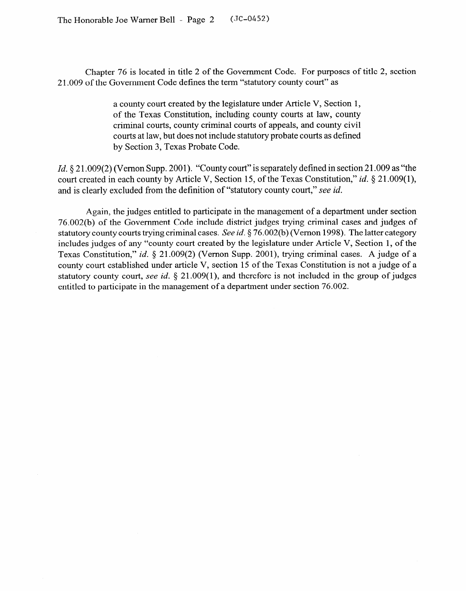Chapter 76 is located in title 2 of the Government Code. For purposes of title 2, section 2 1.009 of the Government Code defines the term "statutory county court" as

> a county court created by the legislature under Article V, Section 1, of the Texas Constitution, including county courts at law, county criminal courts, county criminal courts of appeals, and county civil courts at law, but does not include statutory probate courts as defined by Section 3, Texas Probate Code.

*Id.* § 21.009(2) (Vernon Supp. 2001). "County court" is separately defined in section 21.009 as "the court created in each county by Article V, Section 15, of the Texas Constitution," *id.* § 21.009(1), and is clearly excluded from the definition of "statutory county court," see *id.* 

Again, the judges entitled to participate in the management of a department under section 76.002(b) of the Government Code include district judges trying criminal cases and judges of statutory county courts trying criminal cases. See id.  $\S$  76.002(b) (Vernon 1998). The latter category includes judges of any "county court created by the legislature under Article V, Section 1, of the Texas Constitution," id. § 21.009(2) (Vernon Supp. 2001), trying criminal cases. A judge of a county court established under article V, section 15 of the Texas Constitution is not a judge of a statutory county court, see id. § 21.009(1), and therefore is not included in the group of judges statutory county court, see *id. 5* 21.009(l), and therefore is not included in the group of judges entitled to participate in the management of a department under section 76.002.